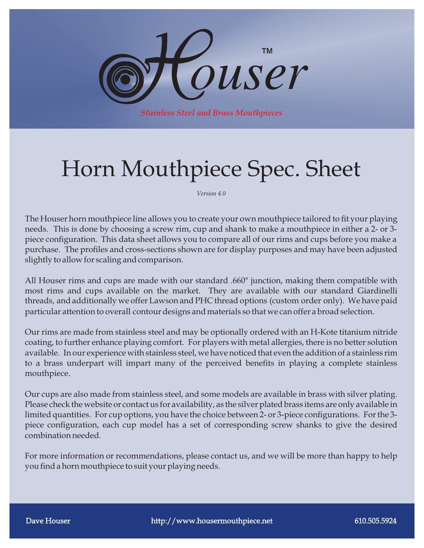

## Horn Mouthpiece Spec. Sheet

*Version 4.0*

The Houser horn mouthpiece line allows you to create your own mouthpiece tailored to fit your playing needs. This is done by choosing a screw rim, cup and shank to make a mouthpiece in either a 2- or 3 piece configuration. This data sheet allows you to compare all of our rims and cups before you make a purchase. The profiles and cross-sections shown are for display purposes and may have been adjusted slightly to allow for scaling and comparison.

All Houser rims and cups are made with our standard .660" junction, making them compatible with most rims and cups available on the market. They are available with our standard Giardinelli threads, and additionally we offer Lawson and PHC thread options (custom order only). We have paid particular attention to overall contour designs and materials so that we can offer a broad selection.

Our rims are made from stainless steel and may be optionally ordered with an H-Kote titanium nitride coating, to further enhance playing comfort. For players with metal allergies, there is no better solution available. In our experience with stainless steel, we have noticed that even the addition of a stainless rim to a brass underpart will impart many of the perceived benefits in playing a complete stainless mouthpiece.

Our cups are also made from stainless steel, and some models are available in brass with silver plating. Please check the website or contact us for availability, as the silver plated brass items are only available in limited quantities. For cup options, you have the choice between 2- or 3-piece configurations. For the 3piece configuration, each cup model has a set of corresponding screw shanks to give the desired combination needed.

For more information or recommendations, please contact us, and we will be more than happy to help you find a horn mouthpiece to suit your playing needs.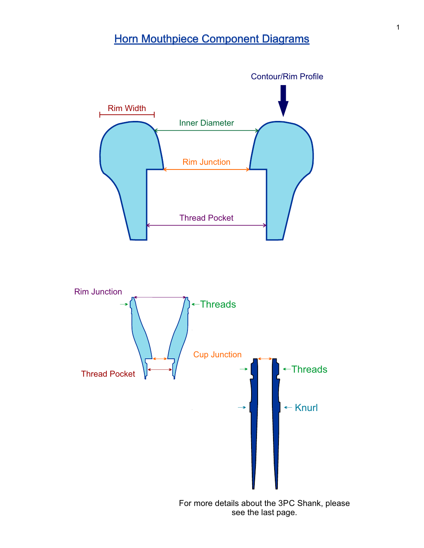## **Horn Mouthpiece Component Diagrams**

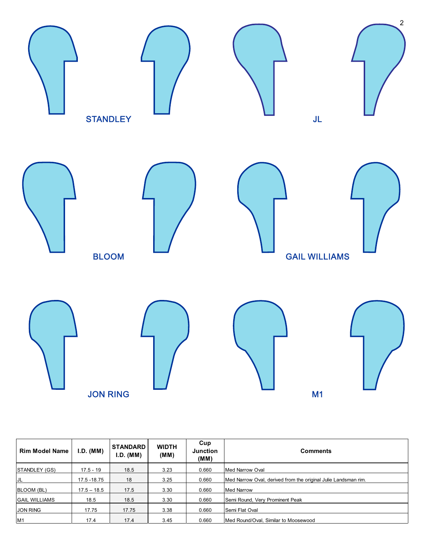

| <b>Rim Model Name</b> | I.D. (MM)     | <b>STANDARD</b><br>I.D. (MM) | <b>WIDTH</b><br>(MM) | Cup<br><b>Junction</b><br>(MM) | <b>Comments</b>                                                |
|-----------------------|---------------|------------------------------|----------------------|--------------------------------|----------------------------------------------------------------|
| <b>ISTANDLEY (GS)</b> | $17.5 - 19$   | 18.5                         | 3.23                 | 0.660                          | Med Narrow Oval                                                |
| IJL                   | 17.5 - 18.75  | 18                           | 3.25                 | 0.660                          | Med Narrow Oval, derived from the original Julie Landsman rim. |
| <b>BLOOM (BL)</b>     | $17.5 - 18.5$ | 17.5                         | 3.30                 | 0.660                          | <b>Med Narrow</b>                                              |
| <b>GAIL WILLIAMS</b>  | 18.5          | 18.5                         | 3.30                 | 0.660                          | Semi Round, Very Prominent Peak                                |
| <b>JON RING</b>       | 17.75         | 17.75                        | 3.38                 | 0.660                          | Semi Flat Oval                                                 |
| M1                    | 17.4          | 17.4                         | 3.45                 | 0.660                          | Med Round/Oval. Similar to Moosewood                           |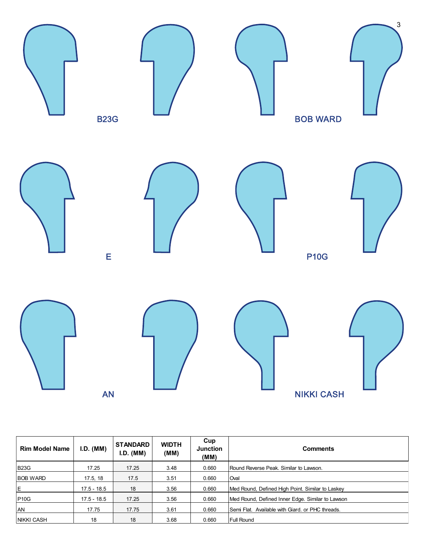

| <b>Rim Model Name</b> | I.D. (MM)     | <b>STANDARD</b><br>I.D. (MM) | <b>WIDTH</b><br>(MM) | Cup<br><b>Junction</b><br>(MM) | <b>Comments</b>                                  |
|-----------------------|---------------|------------------------------|----------------------|--------------------------------|--------------------------------------------------|
| <b>B23G</b>           | 17.25         | 17.25                        | 3.48                 | 0.660                          | Round Reverse Peak. Similar to Lawson.           |
| <b>BOB WARD</b>       | 17.5, 18      | 17.5                         | 3.51                 | 0.660                          | Oval                                             |
| İΕ                    | $17.5 - 18.5$ | 18                           | 3.56                 | 0.660                          | Med Round, Defined High Point. Similar to Laskey |
| <b>P10G</b>           | $17.5 - 18.5$ | 17.25                        | 3.56                 | 0.660                          | Med Round, Defined Inner Edge. Similar to Lawson |
| AN                    | 17.75         | 17.75                        | 3.61                 | 0.660                          | Semi Flat. Available with Giard. or PHC threads. |
| <b>NIKKI CASH</b>     | 18            | 18                           | 3.68                 | 0.660                          | Full Round                                       |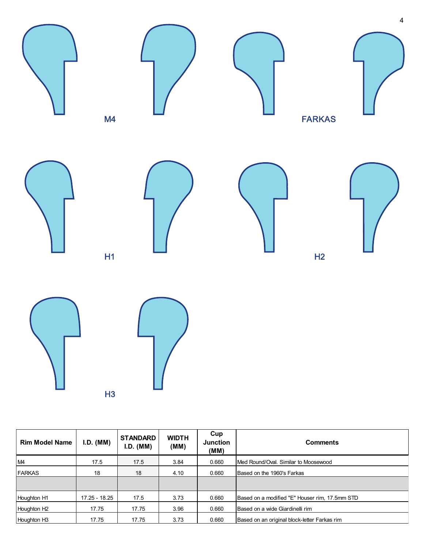

| <b>Rim Model Name</b>   | I.D. (MM)     | <b>STANDARD</b><br>I.D. (MM) | <b>WIDTH</b><br>(MM) | Cup<br><b>Junction</b><br>(MM) | <b>Comments</b>                                |
|-------------------------|---------------|------------------------------|----------------------|--------------------------------|------------------------------------------------|
| M4                      | 17.5          | 17.5                         | 3.84                 | 0.660                          | IMed Round/Oval. Similar to Moosewood          |
| <b>FARKAS</b>           | 18            | 18                           | 4.10                 | 0.660                          | <b>I</b> Based on the 1960's Farkas            |
|                         |               |                              |                      |                                |                                                |
| Houghton H1             | 17.25 - 18.25 | 17.5                         | 3.73                 | 0.660                          | Based on a modified "E" Houser rim, 17.5mm STD |
| Houghton H <sub>2</sub> | 17.75         | 17.75                        | 3.96                 | 0.660                          | IBased on a wide Giardinelli rim               |
| Houghton H <sub>3</sub> | 17.75         | 17.75                        | 3.73                 | 0.660                          | Based on an original block-letter Farkas rim   |

H3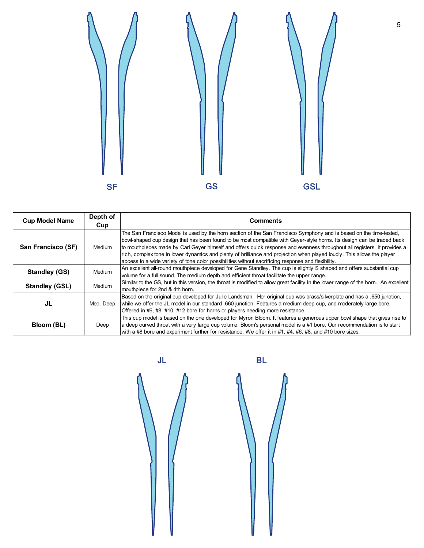

| <b>Cup Model Name</b> | Depth of  | Comments                                                                                                                                                                                                                                                                                                                                                                                                                                                                                                                                                                                                  |  |  |  |
|-----------------------|-----------|-----------------------------------------------------------------------------------------------------------------------------------------------------------------------------------------------------------------------------------------------------------------------------------------------------------------------------------------------------------------------------------------------------------------------------------------------------------------------------------------------------------------------------------------------------------------------------------------------------------|--|--|--|
|                       | Cup       |                                                                                                                                                                                                                                                                                                                                                                                                                                                                                                                                                                                                           |  |  |  |
| San Francisco (SF)    | Medium    | The San Francisco Model is used by the horn section of the San Francisco Symphony and is based on the time-tested,<br>bowl-shaped cup design that has been found to be most compatible with Gever-style horns. Its design can be traced back<br>to mouthpieces made by Carl Geyer himself and offers quick response and evenness throughout all registers. It provides a<br>rich, complex tone in lower dynamics and plenty of brilliance and projection when played loudly. This allows the player<br>access to a wide variety of tone color possibilities without sacrificing response and flexibility. |  |  |  |
| <b>Standley (GS)</b>  | Medium    | An excellent all-round mouthpiece developed for Gene Standley. The cup is slightly S shaped and offers substantial cup<br>volume for a full sound. The medium depth and efficient throat facilitate the upper range.                                                                                                                                                                                                                                                                                                                                                                                      |  |  |  |
| <b>Standley (GSL)</b> | Medium    | Similar to the GS, but in this version, the throat is modified to allow great facility in the lower range of the horn. An excellent<br>mouthpiece for 2nd & 4th horn.                                                                                                                                                                                                                                                                                                                                                                                                                                     |  |  |  |
| JL                    | Med. Deep | Based on the original cup developed for Julie Landsman. Her original cup was brass/silverplate and has a .650 junction,<br>while we offer the JL model in our standard .660 junction. Features a medium deep cup, and moderately large bore.<br>Offered in #6, #8, #10, #12 bore for horns or players needing more resistance.                                                                                                                                                                                                                                                                            |  |  |  |
| Bloom (BL)            | Deep      | This cup model is based on the one developed for Myron Bloom. It features a generous upper bowl shape that gives rise to<br>a deep curved throat with a very large cup volume. Bloom's personal model is a #1 bore. Our recommendation is to start<br>with a #8 bore and experiment further for resistance. We offer it in #1, #4, #6, #8, and #10 bore sizes.                                                                                                                                                                                                                                            |  |  |  |

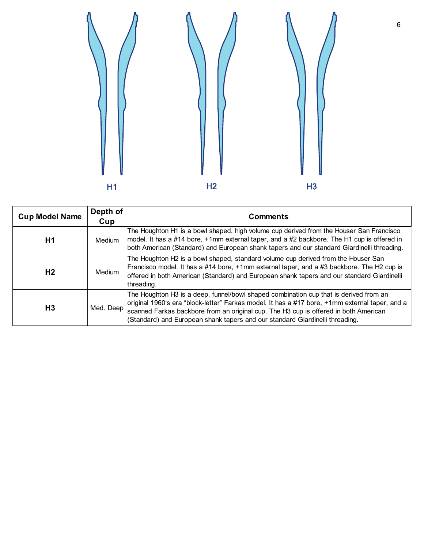

| <b>Cup Model Name</b> | Depth of<br>Cup | <b>Comments</b>                                                                                                                                                                                                                                                                                                                                                 |  |
|-----------------------|-----------------|-----------------------------------------------------------------------------------------------------------------------------------------------------------------------------------------------------------------------------------------------------------------------------------------------------------------------------------------------------------------|--|
| H1                    | Medium          | The Houghton H1 is a bowl shaped, high volume cup derived from the Houser San Francisco<br>model. It has a #14 bore, +1mm external taper, and a #2 backbore. The H1 cup is offered in<br>both American (Standard) and European shank tapers and our standard Giardinelli threading.                                                                             |  |
| H <sub>2</sub>        | Medium          | The Houghton H2 is a bowl shaped, standard volume cup derived from the Houser San<br>Francisco model. It has a #14 bore, +1mm external taper, and a #3 backbore. The H2 cup is<br>offered in both American (Standard) and European shank tapers and our standard Giardinelli<br>threading.                                                                      |  |
| H <sub>3</sub>        | Med. Deep       | The Houghton H3 is a deep, funnel/bowl shaped combination cup that is derived from an<br>original 1960's era "block-letter" Farkas model. It has a #17 bore, +1mm external taper, and a<br>scanned Farkas backbore from an original cup. The H3 cup is offered in both American<br>(Standard) and European shank tapers and our standard Giardinelli threading. |  |

 $\overline{\phantom{a}}$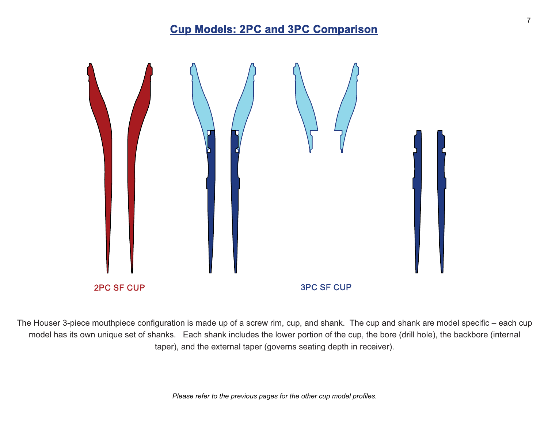## **Cup Models: 2PC and 3PC Comparison**



The Houser 3-piece mouthpiece configuration is made up of a screw rim, cup, and shank. The cup and shank are model specific – each cup model has its own unique set of shanks. Each shank includes the lower portion of the cup, the bore (drill hole), the backbore (internal taper), and the external taper (governs seating depth in receiver).

*Please refer to the previous pages for the other cup model profiles.*